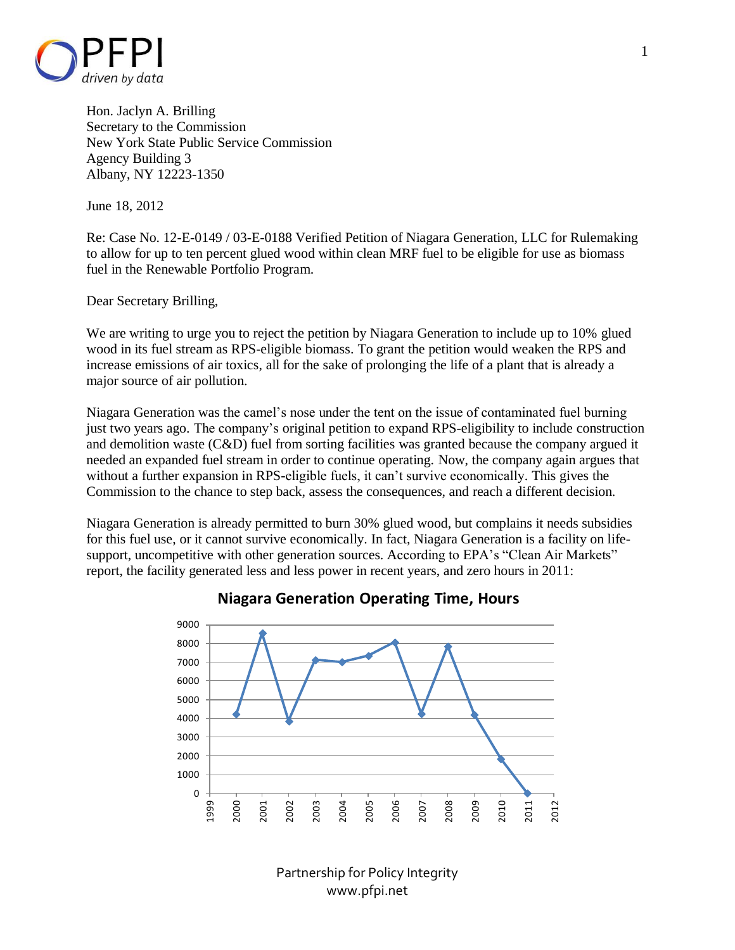

Hon. Jaclyn A. Brilling Secretary to the Commission New York State Public Service Commission Agency Building 3 Albany, NY 12223-1350

June 18, 2012

Re: Case No. 12-E-0149 / 03-E-0188 Verified Petition of Niagara Generation, LLC for Rulemaking to allow for up to ten percent glued wood within clean MRF fuel to be eligible for use as biomass fuel in the Renewable Portfolio Program.

Dear Secretary Brilling,

We are writing to urge you to reject the petition by Niagara Generation to include up to 10% glued wood in its fuel stream as RPS-eligible biomass. To grant the petition would weaken the RPS and increase emissions of air toxics, all for the sake of prolonging the life of a plant that is already a major source of air pollution.

Niagara Generation was the camel's nose under the tent on the issue of contaminated fuel burning just two years ago. The company's original petition to expand RPS-eligibility to include construction and demolition waste (C&D) fuel from sorting facilities was granted because the company argued it needed an expanded fuel stream in order to continue operating. Now, the company again argues that without a further expansion in RPS-eligible fuels, it can't survive economically. This gives the Commission to the chance to step back, assess the consequences, and reach a different decision.

Niagara Generation is already permitted to burn 30% glued wood, but complains it needs subsidies for this fuel use, or it cannot survive economically. In fact, Niagara Generation is a facility on lifesupport, uncompetitive with other generation sources. According to EPA's "Clean Air Markets" report, the facility generated less and less power in recent years, and zero hours in 2011:



## **Niagara Generation Operating Time, Hours**

Partnership for Policy Integrity www.pfpi.net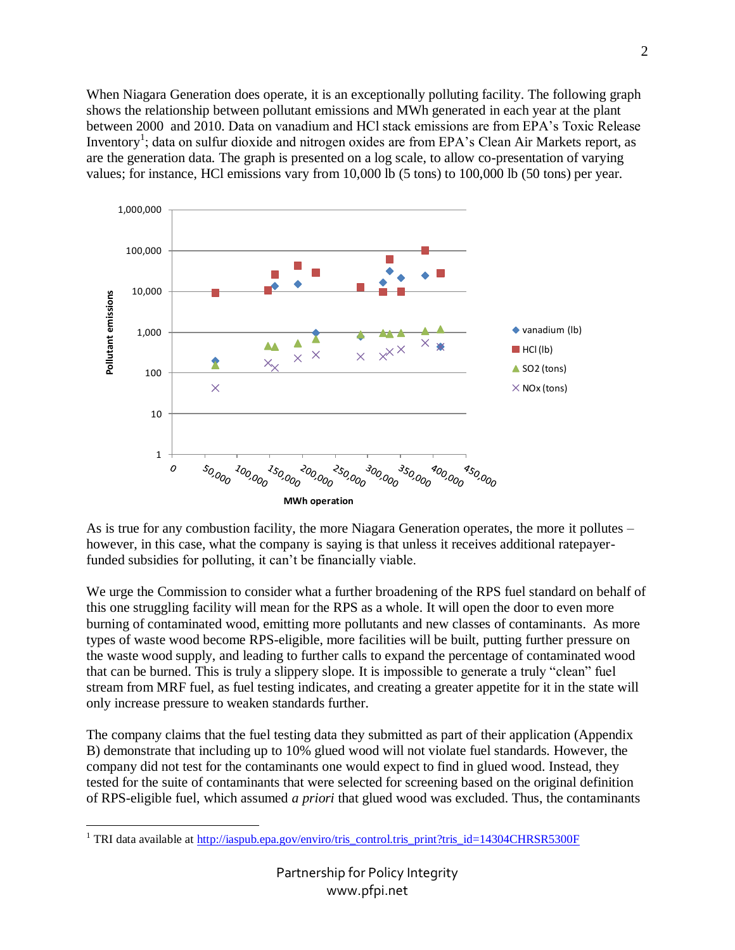When Niagara Generation does operate, it is an exceptionally polluting facility. The following graph shows the relationship between pollutant emissions and MWh generated in each year at the plant between 2000 and 2010. Data on vanadium and HCl stack emissions are from EPA's Toxic Release Inventory<sup>1</sup>; data on sulfur dioxide and nitrogen oxides are from EPA's Clean Air Markets report, as are the generation data. The graph is presented on a log scale, to allow co-presentation of varying values; for instance, HCl emissions vary from 10,000 lb (5 tons) to 100,000 lb (50 tons) per year.



As is true for any combustion facility, the more Niagara Generation operates, the more it pollutes – however, in this case, what the company is saying is that unless it receives additional ratepayerfunded subsidies for polluting, it can't be financially viable.

We urge the Commission to consider what a further broadening of the RPS fuel standard on behalf of this one struggling facility will mean for the RPS as a whole. It will open the door to even more burning of contaminated wood, emitting more pollutants and new classes of contaminants. As more types of waste wood become RPS-eligible, more facilities will be built, putting further pressure on the waste wood supply, and leading to further calls to expand the percentage of contaminated wood that can be burned. This is truly a slippery slope. It is impossible to generate a truly "clean" fuel stream from MRF fuel, as fuel testing indicates, and creating a greater appetite for it in the state will only increase pressure to weaken standards further.

The company claims that the fuel testing data they submitted as part of their application (Appendix B) demonstrate that including up to 10% glued wood will not violate fuel standards. However, the company did not test for the contaminants one would expect to find in glued wood. Instead, they tested for the suite of contaminants that were selected for screening based on the original definition of RPS-eligible fuel, which assumed *a priori* that glued wood was excluded. Thus, the contaminants

<sup>&</sup>lt;sup>1</sup> TRI data available at <u>http://iaspub.epa.gov/enviro/tris\_control.tris\_print?tris\_id=14304CHRSR5300F</u>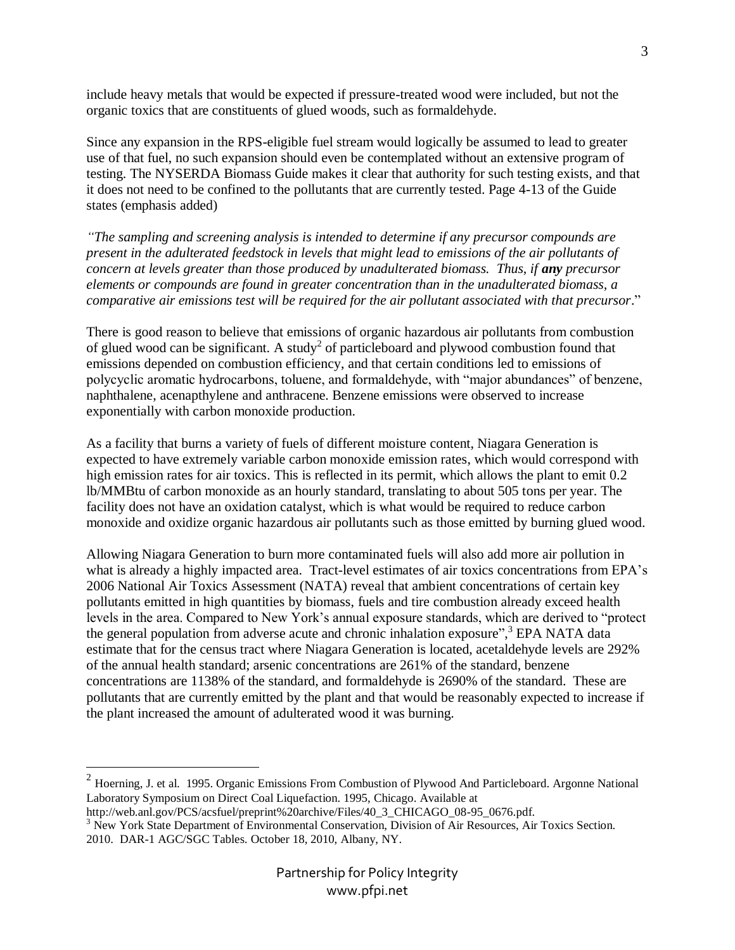include heavy metals that would be expected if pressure-treated wood were included, but not the organic toxics that are constituents of glued woods, such as formaldehyde.

Since any expansion in the RPS-eligible fuel stream would logically be assumed to lead to greater use of that fuel, no such expansion should even be contemplated without an extensive program of testing. The NYSERDA Biomass Guide makes it clear that authority for such testing exists, and that it does not need to be confined to the pollutants that are currently tested. Page 4-13 of the Guide states (emphasis added)

*"The sampling and screening analysis is intended to determine if any precursor compounds are present in the adulterated feedstock in levels that might lead to emissions of the air pollutants of concern at levels greater than those produced by unadulterated biomass. Thus, if any precursor elements or compounds are found in greater concentration than in the unadulterated biomass, a comparative air emissions test will be required for the air pollutant associated with that precursor*."

There is good reason to believe that emissions of organic hazardous air pollutants from combustion of glued wood can be significant. A study<sup>2</sup> of particleboard and plywood combustion found that emissions depended on combustion efficiency, and that certain conditions led to emissions of polycyclic aromatic hydrocarbons, toluene, and formaldehyde, with "major abundances" of benzene, naphthalene, acenapthylene and anthracene. Benzene emissions were observed to increase exponentially with carbon monoxide production.

As a facility that burns a variety of fuels of different moisture content, Niagara Generation is expected to have extremely variable carbon monoxide emission rates, which would correspond with high emission rates for air toxics. This is reflected in its permit, which allows the plant to emit 0.2 lb/MMBtu of carbon monoxide as an hourly standard, translating to about 505 tons per year. The facility does not have an oxidation catalyst, which is what would be required to reduce carbon monoxide and oxidize organic hazardous air pollutants such as those emitted by burning glued wood.

Allowing Niagara Generation to burn more contaminated fuels will also add more air pollution in what is already a highly impacted area. Tract-level estimates of air toxics concentrations from EPA's 2006 National Air Toxics Assessment (NATA) reveal that ambient concentrations of certain key pollutants emitted in high quantities by biomass, fuels and tire combustion already exceed health levels in the area. Compared to New York's annual exposure standards, which are derived to "protect the general population from adverse acute and chronic inhalation exposure", <sup>3</sup> EPA NATA data estimate that for the census tract where Niagara Generation is located, acetaldehyde levels are 292% of the annual health standard; arsenic concentrations are 261% of the standard, benzene concentrations are 1138% of the standard, and formaldehyde is 2690% of the standard. These are pollutants that are currently emitted by the plant and that would be reasonably expected to increase if the plant increased the amount of adulterated wood it was burning.

 $\overline{a}$ 

 $2$  Hoerning, J. et al. 1995. Organic Emissions From Combustion of Plywood And Particleboard. Argonne National Laboratory Symposium on Direct Coal Liquefaction. 1995, Chicago. Available at

[http://web.anl.gov/PCS/acsfuel/preprint%20archive/Files/40\\_3\\_CHICAGO\\_08-95\\_0676.pdf.](http://web.anl.gov/PCS/acsfuel/preprint%20archive/Files/40_3_CHICAGO_08-95_0676.pdf)

<sup>&</sup>lt;sup>3</sup> New York State Department of Environmental Conservation, Division of Air Resources, Air Toxics Section. 2010. DAR-1 AGC/SGC Tables. October 18, 2010, Albany, NY.